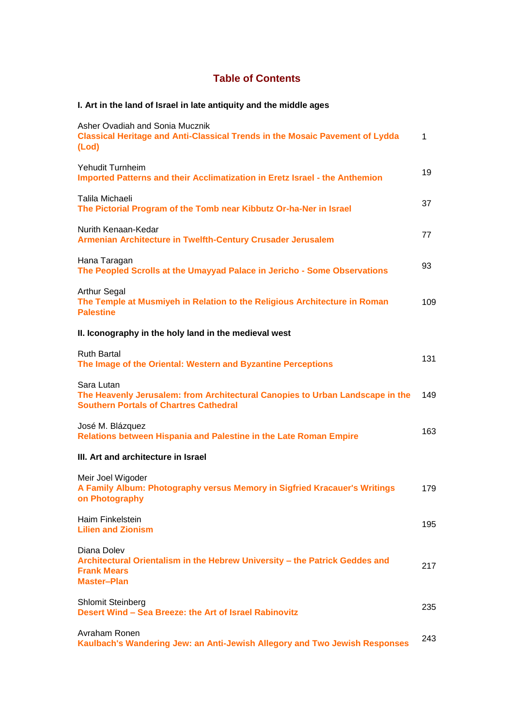## **Table of Contents**

## **I. Art in the land of Israel in late antiquity and the middle ages**

| Asher Ovadiah and Sonia Mucznik<br><b>Classical Heritage and Anti-Classical Trends in the Mosaic Pavement of Lydda</b><br>(Lod)              | 1   |
|----------------------------------------------------------------------------------------------------------------------------------------------|-----|
| Yehudit Turnheim<br>Imported Patterns and their Acclimatization in Eretz Israel - the Anthemion                                              | 19  |
| Talila Michaeli<br>The Pictorial Program of the Tomb near Kibbutz Or-ha-Ner in Israel                                                        | 37  |
| Nurith Kenaan-Kedar<br>Armenian Architecture in Twelfth-Century Crusader Jerusalem                                                           | 77  |
| Hana Taragan<br>The Peopled Scrolls at the Umayyad Palace in Jericho - Some Observations                                                     | 93  |
| <b>Arthur Segal</b><br>The Temple at Musmiyeh in Relation to the Religious Architecture in Roman<br><b>Palestine</b>                         | 109 |
| II. Iconography in the holy land in the medieval west                                                                                        |     |
| <b>Ruth Bartal</b><br>The Image of the Oriental: Western and Byzantine Perceptions                                                           | 131 |
| Sara Lutan<br>The Heavenly Jerusalem: from Architectural Canopies to Urban Landscape in the<br><b>Southern Portals of Chartres Cathedral</b> | 149 |
| José M. Blázquez<br>Relations between Hispania and Palestine in the Late Roman Empire                                                        | 163 |
| III. Art and architecture in Israel                                                                                                          |     |
| Meir Joel Wigoder<br>A Family Album: Photography versus Memory in Sigfried Kracauer's Writings<br>on Photography                             | 179 |
| Haim Finkelstein<br><b>Lilien and Zionism</b>                                                                                                | 195 |
| Diana Dolev<br>Architectural Orientalism in the Hebrew University - the Patrick Geddes and<br><b>Frank Mears</b><br><b>Master-Plan</b>       | 217 |
| <b>Shlomit Steinberg</b><br>Desert Wind - Sea Breeze: the Art of Israel Rabinovitz                                                           | 235 |
| Avraham Ronen<br>Kaulbach's Wandering Jew: an Anti-Jewish Allegory and Two Jewish Responses                                                  | 243 |